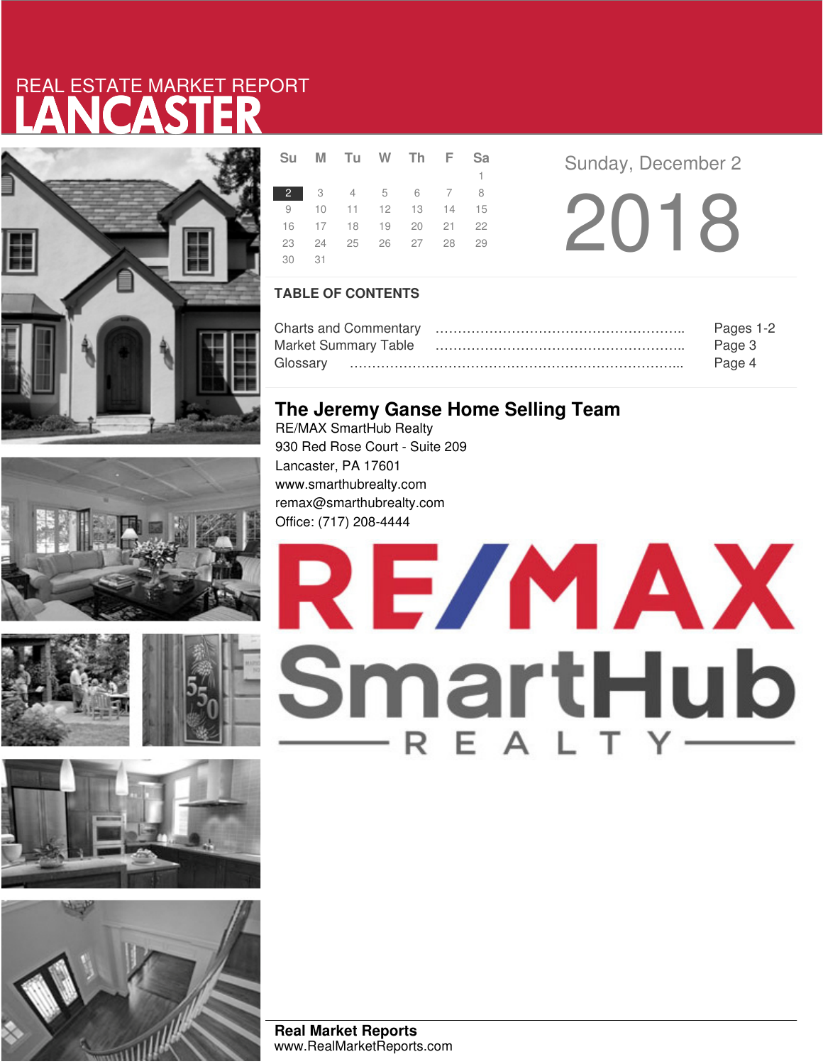# LANCASTER REAL ESTATE MARKET REPORT







|    |    | Su M Tu W Th F Sa    |  |              |  |
|----|----|----------------------|--|--------------|--|
|    |    |                      |  | $\mathbf{1}$ |  |
|    |    | 2 3 4 5 6 7 8        |  |              |  |
|    |    | 9 10 11 12 13 14 15  |  |              |  |
|    |    | 16 17 18 19 20 21 22 |  |              |  |
|    |    | 23 24 25 26 27 28 29 |  |              |  |
| 30 | 31 |                      |  |              |  |

**Sunday, December 2** 

2018

### **TABLE OF CONTENTS**

|                             | Pages 1-2 |
|-----------------------------|-----------|
| <b>Market Summary Table</b> | Page 3    |
|                             | Page 4    |

### **The Jeremy Ganse Home Selling Team**

RE/MAX SmartHub Realty 930 Red Rose Court - Suite 209 Lancaster, PA 17601 www.smarthubrealty.com remax@smarthubrealty.com Office: (717) 208-4444



**Real Market Reports** www.RealMarketReports.com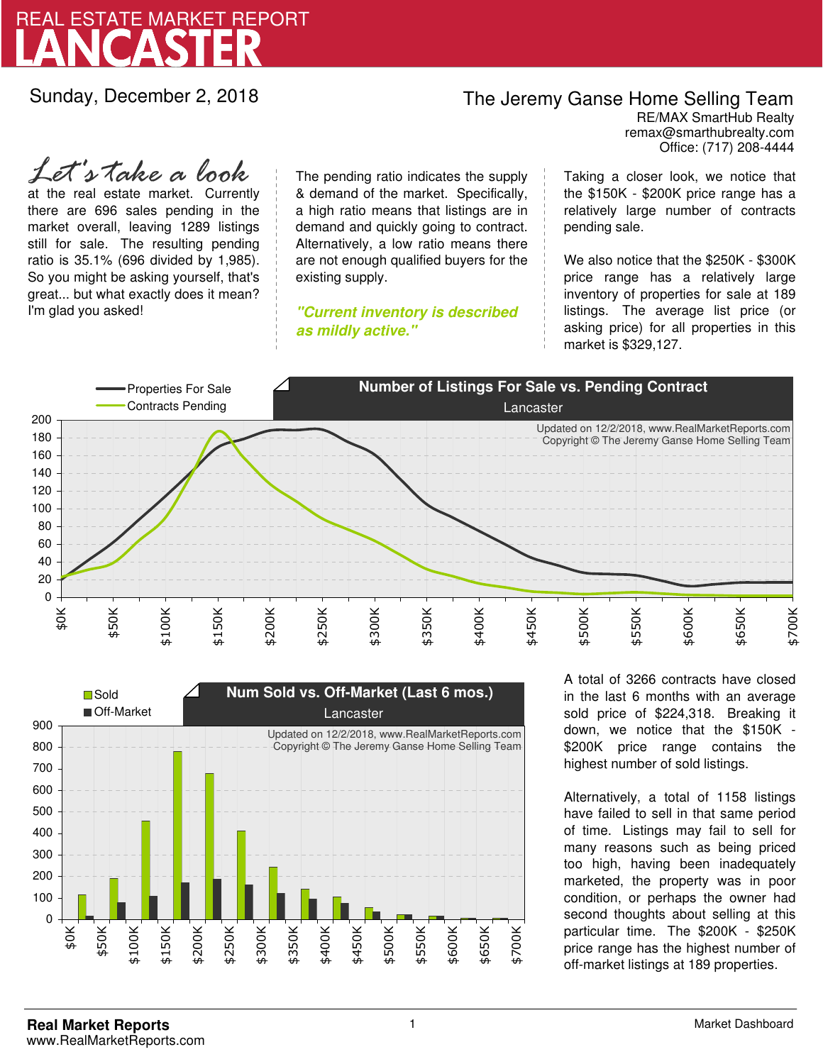

Sunday, December 2, 2018

## The Jeremy Ganse Home Selling Team

remax@smarthubrealty.com RE/MAX SmartHub Realty Office: (717) 208-4444

at the real estate market. Currently there are 696 sales pending in the market overall, leaving 1289 listings still for sale. The resulting pending ratio is 35.1% (696 divided by 1,985). So you might be asking yourself, that's great... but what exactly does it mean? I'm glad you asked! *Let's take a look*

The pending ratio indicates the supply & demand of the market. Specifically, a high ratio means that listings are in demand and quickly going to contract. Alternatively, a low ratio means there are not enough qualified buyers for the existing supply.

**"Current inventory is described as mildly active."**

Taking a closer look, we notice that the \$150K - \$200K price range has a relatively large number of contracts pending sale.

We also notice that the \$250K - \$300K price range has a relatively large inventory of properties for sale at 189 listings. The average list price (or asking price) for all properties in this market is \$329,127.





A total of 3266 contracts have closed in the last 6 months with an average sold price of \$224,318. Breaking it down, we notice that the \$150K - \$200K price range contains the highest number of sold listings.

Alternatively, a total of 1158 listings have failed to sell in that same period of time. Listings may fail to sell for many reasons such as being priced too high, having been inadequately marketed, the property was in poor condition, or perhaps the owner had second thoughts about selling at this particular time. The \$200K - \$250K price range has the highest number of off-market listings at 189 properties.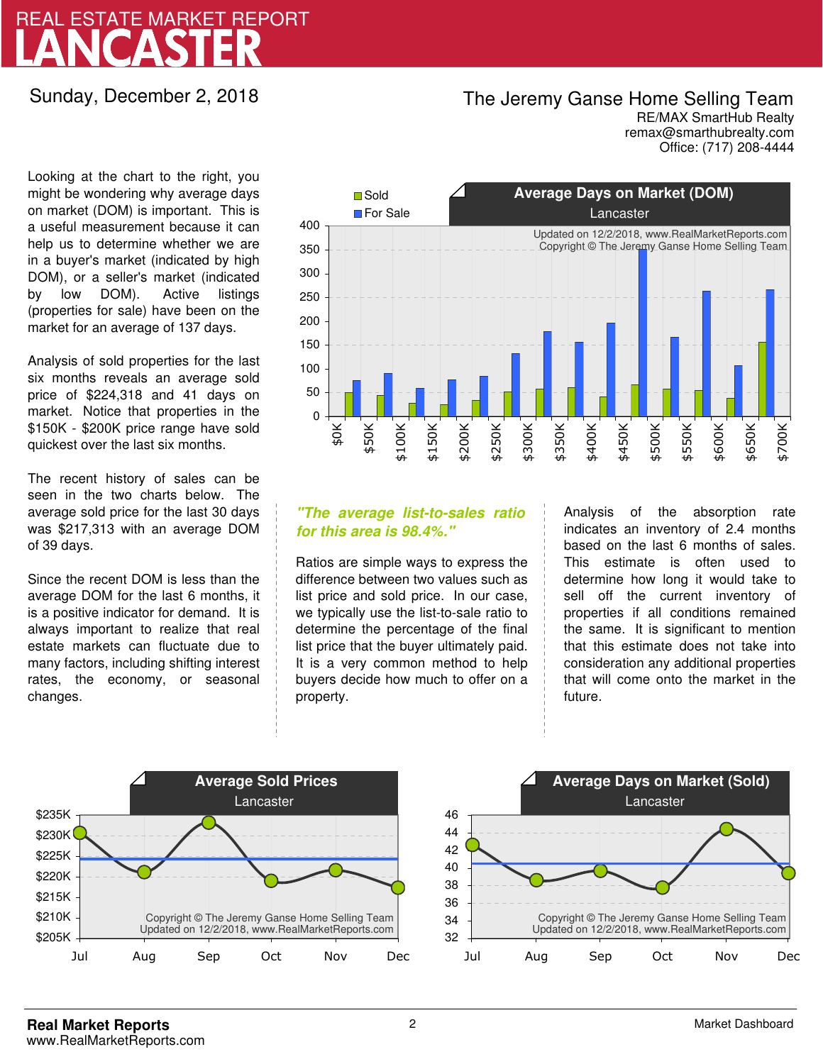## LANCASTER REAL ESTATE MARKET REPORT

Sunday, December 2, 2018

## The Jeremy Ganse Home Selling Team

remax@smarthubrealty.com RE/MAX SmartHub Realty Office: (717) 208-4444

Looking at the chart to the right, you might be wondering why average days on market (DOM) is important. This is a useful measurement because it can help us to determine whether we are in a buyer's market (indicated by high DOM), or a seller's market (indicated by low DOM). Active listings (properties for sale) have been on the market for an average of 137 days.

Analysis of sold properties for the last six months reveals an average sold price of \$224,318 and 41 days on market. Notice that properties in the \$150K - \$200K price range have sold quickest over the last six months.

The recent history of sales can be seen in the two charts below. The average sold price for the last 30 days was \$217,313 with an average DOM of 39 days.

Since the recent DOM is less than the average DOM for the last 6 months, it is a positive indicator for demand. It is always important to realize that real estate markets can fluctuate due to many factors, including shifting interest rates, the economy, or seasonal changes.



### **"The average list-to-sales ratio for this area is 98.4%."**

Ratios are simple ways to express the difference between two values such as list price and sold price. In our case, we typically use the list-to-sale ratio to determine the percentage of the final list price that the buyer ultimately paid. It is a very common method to help buyers decide how much to offer on a property.

Analysis of the absorption rate indicates an inventory of 2.4 months based on the last 6 months of sales. This estimate is often used to determine how long it would take to sell off the current inventory of properties if all conditions remained the same. It is significant to mention that this estimate does not take into consideration any additional properties that will come onto the market in the future.



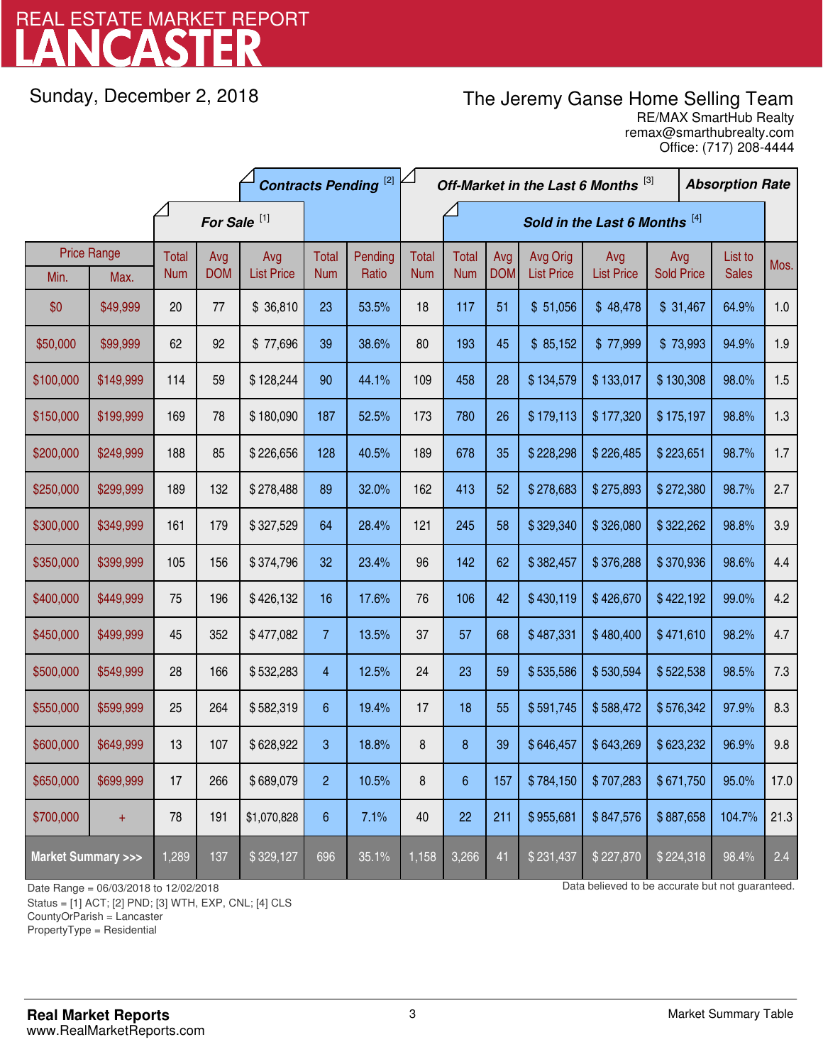# LANCASTER REAL ESTATE MARKET REPORT

Sunday, December 2, 2018

## The Jeremy Ganse Home Selling Team

remax@smarthubrealty.com RE/MAX SmartHub Realty Office: (717) 208-4444

|                                    |                    | <b>Contracts Pending [2]</b> |                         |                   |                | Off-Market in the Last 6 Months [3] |                               |                |            |                   | <b>Absorption Rate</b> |                   |  |              |      |
|------------------------------------|--------------------|------------------------------|-------------------------|-------------------|----------------|-------------------------------------|-------------------------------|----------------|------------|-------------------|------------------------|-------------------|--|--------------|------|
|                                    |                    |                              | For Sale <sup>[1]</sup> |                   |                |                                     | Sold in the Last 6 Months [4] |                |            |                   |                        |                   |  |              |      |
|                                    | <b>Price Range</b> | Total                        | Avg                     | Avg               | Total          | Pending                             | <b>Total</b>                  | Total          | Avg        | Avg Orig          | Avg                    | Avg               |  | List to      | Mos. |
| Min.                               | Max.               | <b>Num</b>                   | <b>DOM</b>              | <b>List Price</b> | <b>Num</b>     | Ratio                               | <b>Num</b>                    | <b>Num</b>     | <b>DOM</b> | <b>List Price</b> | <b>List Price</b>      | <b>Sold Price</b> |  | <b>Sales</b> |      |
| \$0                                | \$49,999           | 20                           | 77                      | \$36,810          | 23             | 53.5%                               | 18                            | 117            | 51         | \$51,056          | \$48,478               | \$31,467          |  | 64.9%        | 1.0  |
| \$50,000                           | \$99,999           | 62                           | 92                      | \$77,696          | 39             | 38.6%                               | 80                            | 193            | 45         | \$85,152          | \$77,999               | \$73,993          |  | 94.9%        | 1.9  |
| \$100,000                          | \$149,999          | 114                          | 59                      | \$128,244         | 90             | 44.1%                               | 109                           | 458            | 28         | \$134,579         | \$133,017              | \$130,308         |  | 98.0%        | 1.5  |
| \$150,000                          | \$199,999          | 169                          | 78                      | \$180,090         | 187            | 52.5%                               | 173                           | 780            | 26         | \$179,113         | \$177,320              | \$175,197         |  | 98.8%        | 1.3  |
| \$200,000                          | \$249,999          | 188                          | 85                      | \$226,656         | 128            | 40.5%                               | 189                           | 678            | 35         | \$228,298         | \$226,485              | \$223,651         |  | 98.7%        | 1.7  |
| \$250,000                          | \$299,999          | 189                          | 132                     | \$278,488         | 89             | 32.0%                               | 162                           | 413            | 52         | \$278,683         | \$275,893              | \$272,380         |  | 98.7%        | 2.7  |
| \$300,000                          | \$349,999          | 161                          | 179                     | \$327,529         | 64             | 28.4%                               | 121                           | 245            | 58         | \$329,340         | \$326,080              | \$322,262         |  | 98.8%        | 3.9  |
| \$350,000                          | \$399,999          | 105                          | 156                     | \$374,796         | 32             | 23.4%                               | 96                            | 142            | 62         | \$382,457         | \$376,288              | \$370,936         |  | 98.6%        | 4.4  |
| \$400,000                          | \$449,999          | 75                           | 196                     | \$426,132         | 16             | 17.6%                               | 76                            | 106            | 42         | \$430,119         | \$426,670              | \$422,192         |  | 99.0%        | 4.2  |
| \$450,000                          | \$499,999          | 45                           | 352                     | \$477,082         | $\overline{7}$ | 13.5%                               | 37                            | 57             | 68         | \$487,331         | \$480,400              | \$471,610         |  | 98.2%        | 4.7  |
| \$500,000                          | \$549,999          | 28                           | 166                     | \$532,283         | $\overline{4}$ | 12.5%                               | 24                            | 23             | 59         | \$535,586         | \$530,594              | \$522,538         |  | 98.5%        | 7.3  |
| \$550,000                          | \$599,999          | 25                           | 264                     | \$582,319         | 6              | 19.4%                               | 17                            | 18             | 55         | \$591,745         | \$588,472              | \$576,342         |  | 97.9%        | 8.3  |
| \$600,000                          | \$649,999          | 13                           | 107                     | \$628,922         | 3              | 18.8%                               | 8                             | $\bf 8$        | 39         | \$646,457         | \$643,269              | \$623,232         |  | 96.9%        | 9.8  |
| \$650,000                          | \$699,999          | 17                           | 266                     | \$689,079         | $\overline{2}$ | 10.5%                               | 8                             | $6\phantom{a}$ | 157        | \$784,150         | \$707,283              | \$671,750         |  | 95.0%        | 17.0 |
| \$700,000                          | $+$                | 78                           | 191                     | \$1,070,828       | 6              | 7.1%                                | 40                            | 22             | 211        | \$955,681         | \$847,576              | \$887,658         |  | 104.7%       | 21.3 |
| <b>Market Summary &gt;&gt;&gt;</b> |                    | 1,289                        | 137                     | \$329,127         | 696            | 35.1%                               | 1,158                         | 3,266          | 41         | \$231,437         | \$227,870              | \$224,318         |  | 98.4%        | 2.4  |

Status = [1] ACT; [2] PND; [3] WTH, EXP, CNL; [4] CLS

CountyOrParish = Lancaster

PropertyType = Residential

-

Date Range = 06/03/2018 to 12/02/2018 control be accurate but not guaranteed.